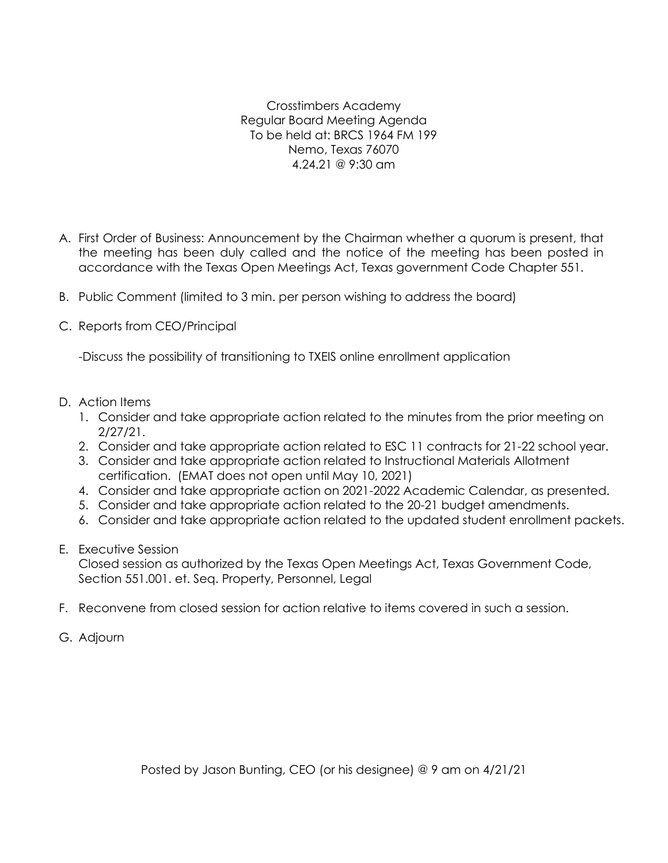Crosstimbers Academy Regular Board Meeting Agenda To be held at: BRCS 1964 FM 199 Nemo, Texas 76070 4.24.21 @ 9:30 am

- A. First Order of Business: Announcement by the Chairman whether a quorum is present, that the meeting has been duly called and the notice of the meeting has been posted in accordance with the Texas Open Meetings Act, Texas government Code Chapter 551.
- B. Public Comment (limited to 3 min. per person wishing to address the board)
- C. Reports from CEO/Principal

-Discuss the possibility of transitioning to TXEIS online enrollment application

- D. Action Items
	- 1. Consider and take appropriate action related to the minutes from the prior meeting on 2/27/21.
	- 2. Consider and take appropriate action related to ESC 11 contracts for 21-22 school year.
	- 3. Consider and take appropriate action related to Instructional Materials Allotment certification. (EMAT does not open until May 10, 2021)
	- 4. Consider and take appropriate action on 2021-2022 Academic Calendar, as presented.
	- 5. Consider and take appropriate action related to the 20-21 budget amendments.
	- 6. Consider and take appropriate action related to the updated student enrollment packets.
- E. Executive Session

Closed session as authorized by the Texas Open Meetings Act, Texas Government Code, Section 551.001. et. Seq. Property, Personnel, Legal

- F. Reconvene from closed session for action relative to items covered in such a session.
- G. Adjourn